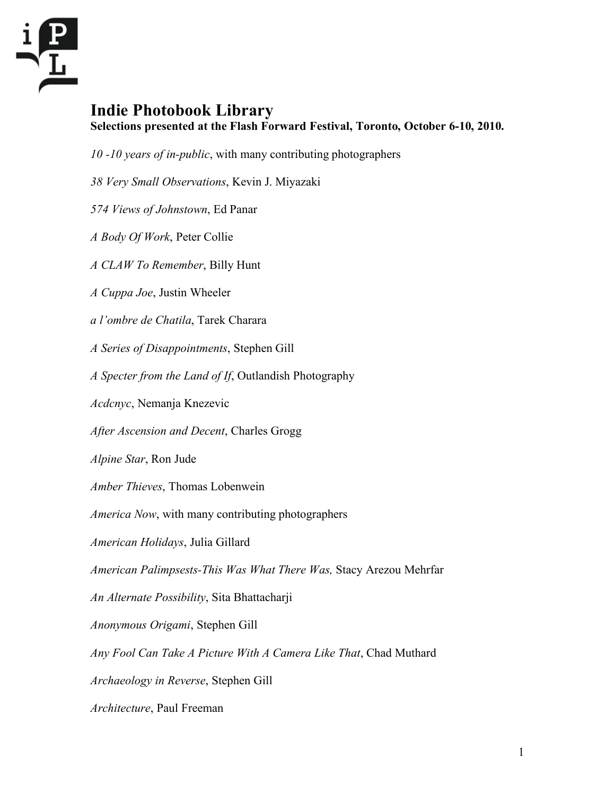

## **Indie Photobook Library Selections presented at the Flash Forward Festival, Toronto, October 6-10, 2010.**

- *10 -10 years of in-public*, with many contributing photographers
- *38 Very Small Observations*, Kevin J. Miyazaki
- *574 Views of Johnstown*, Ed Panar
- *A Body Of Work*, Peter Collie
- *A CLAW To Remember*, Billy Hunt
- *A Cuppa Joe*, Justin Wheeler
- *a l'ombre de Chatila*, Tarek Charara
- *A Series of Disappointments*, Stephen Gill
- *A Specter from the Land of If*, Outlandish Photography
- *Acdcnyc*, Nemanja Knezevic
- *After Ascension and Decent*, Charles Grogg
- *Alpine Star*, Ron Jude
- *Amber Thieves*, Thomas Lobenwein
- *America Now*, with many contributing photographers
- *American Holidays*, Julia Gillard
- *American Palimpsests-This Was What There Was,* Stacy Arezou Mehrfar
- *An Alternate Possibility*, Sita Bhattacharji
- *Anonymous Origami*, Stephen Gill
- *Any Fool Can Take A Picture With A Camera Like That*, Chad Muthard
- *Archaeology in Reverse*, Stephen Gill
- *Architecture*, Paul Freeman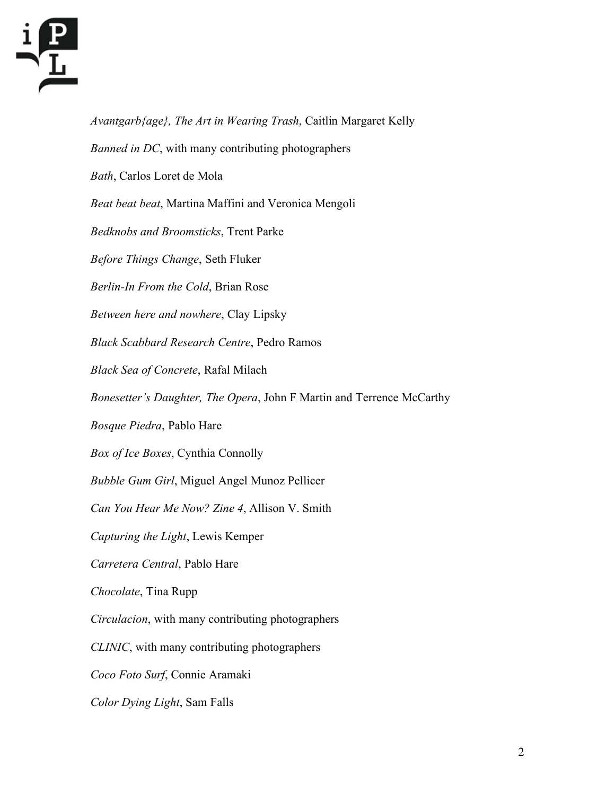

*Avantgarb{age}, The Art in Wearing Trash*, Caitlin Margaret Kelly *Banned in DC*, with many contributing photographers *Bath*, Carlos Loret de Mola *Beat beat beat*, Martina Maffini and Veronica Mengoli *Bedknobs and Broomsticks*, Trent Parke *Before Things Change*, Seth Fluker *Berlin-In From the Cold*, Brian Rose *Between here and nowhere*, Clay Lipsky *Black Scabbard Research Centre*, Pedro Ramos *Black Sea of Concrete*, Rafal Milach *Bonesetter's Daughter, The Opera*, John F Martin and Terrence McCarthy *Bosque Piedra*, Pablo Hare *Box of Ice Boxes*, Cynthia Connolly *Bubble Gum Girl*, Miguel Angel Munoz Pellicer *Can You Hear Me Now? Zine 4*, Allison V. Smith *Capturing the Light*, Lewis Kemper *Carretera Central*, Pablo Hare *Chocolate*, Tina Rupp *Circulacion*, with many contributing photographers *CLINIC*, with many contributing photographers *Coco Foto Surf*, Connie Aramaki *Color Dying Light*, Sam Falls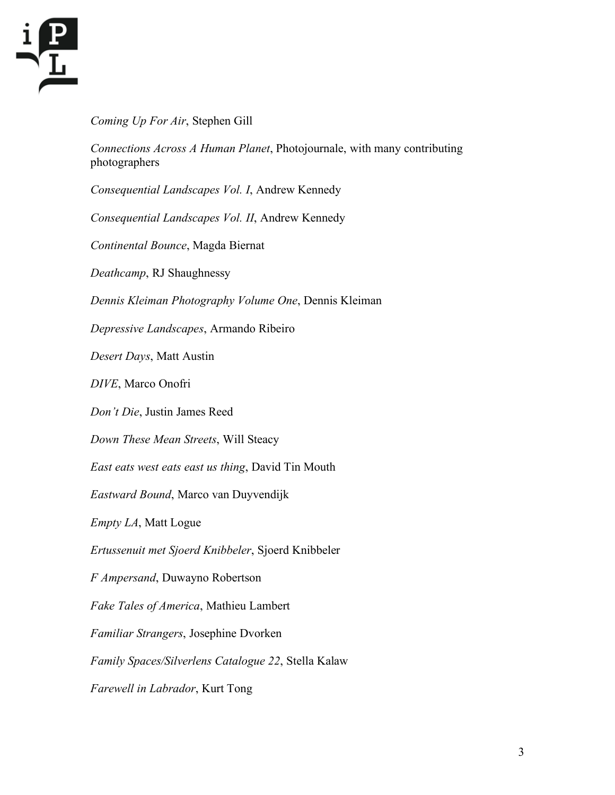

*Coming Up For Air*, Stephen Gill

*Connections Across A Human Planet*, Photojournale, with many contributing photographers

*Consequential Landscapes Vol. I*, Andrew Kennedy

*Consequential Landscapes Vol. II*, Andrew Kennedy

*Continental Bounce*, Magda Biernat

*Deathcamp*, RJ Shaughnessy

*Dennis Kleiman Photography Volume One*, Dennis Kleiman

*Depressive Landscapes*, Armando Ribeiro

*Desert Days*, Matt Austin

*DIVE*, Marco Onofri

*Don't Die*, Justin James Reed

*Down These Mean Streets*, Will Steacy

*East eats west eats east us thing*, David Tin Mouth

*Eastward Bound*, Marco van Duyvendijk

*Empty LA*, Matt Logue

*Ertussenuit met Sjoerd Knibbeler*, Sjoerd Knibbeler

*F Ampersand*, Duwayno Robertson

*Fake Tales of America*, Mathieu Lambert

*Familiar Strangers*, Josephine Dvorken

*Family Spaces/Silverlens Catalogue 22*, Stella Kalaw

*Farewell in Labrador*, Kurt Tong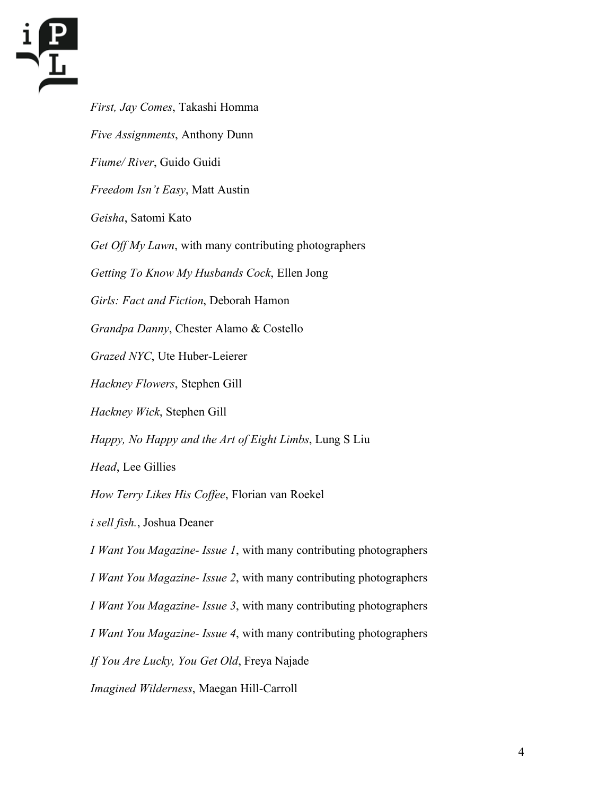

*First, Jay Comes*, Takashi Homma *Five Assignments*, Anthony Dunn *Fiume/ River*, Guido Guidi *Freedom Isn't Easy*, Matt Austin *Geisha*, Satomi Kato *Get Off My Lawn*, with many contributing photographers *Getting To Know My Husbands Cock*, Ellen Jong *Girls: Fact and Fiction*, Deborah Hamon *Grandpa Danny*, Chester Alamo & Costello *Grazed NYC*, Ute Huber-Leierer *Hackney Flowers*, Stephen Gill *Hackney Wick*, Stephen Gill *Happy, No Happy and the Art of Eight Limbs*, Lung S Liu *Head*, Lee Gillies *How Terry Likes His Coffee*, Florian van Roekel *i sell fish.*, Joshua Deaner *I Want You Magazine- Issue 1*, with many contributing photographers *I Want You Magazine- Issue 2*, with many contributing photographers *I Want You Magazine- Issue 3*, with many contributing photographers *I Want You Magazine- Issue 4*, with many contributing photographers *If You Are Lucky, You Get Old*, Freya Najade *Imagined Wilderness*, Maegan Hill-Carroll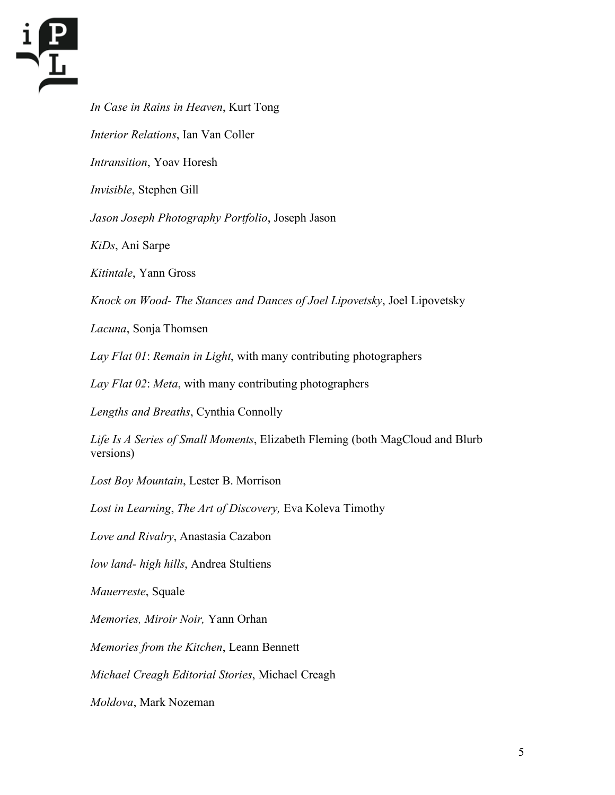

*In Case in Rains in Heaven*, Kurt Tong *Interior Relations*, Ian Van Coller *Intransition*, Yoav Horesh *Invisible*, Stephen Gill *Jason Joseph Photography Portfolio*, Joseph Jason *KiDs*, Ani Sarpe *Kitintale*, Yann Gross *Knock on Wood- The Stances and Dances of Joel Lipovetsky*, Joel Lipovetsky *Lacuna*, Sonja Thomsen *Lay Flat 01*: *Remain in Light*, with many contributing photographers *Lay Flat 02*: *Meta*, with many contributing photographers *Lengths and Breaths*, Cynthia Connolly *Life Is A Series of Small Moments*, Elizabeth Fleming (both MagCloud and Blurb versions) *Lost Boy Mountain*, Lester B. Morrison *Lost in Learning*, *The Art of Discovery,* Eva Koleva Timothy *Love and Rivalry*, Anastasia Cazabon *low land- high hills*, Andrea Stultiens *Mauerreste*, Squale *Memories, Miroir Noir,* Yann Orhan *Memories from the Kitchen*, Leann Bennett *Michael Creagh Editorial Stories*, Michael Creagh *Moldova*, Mark Nozeman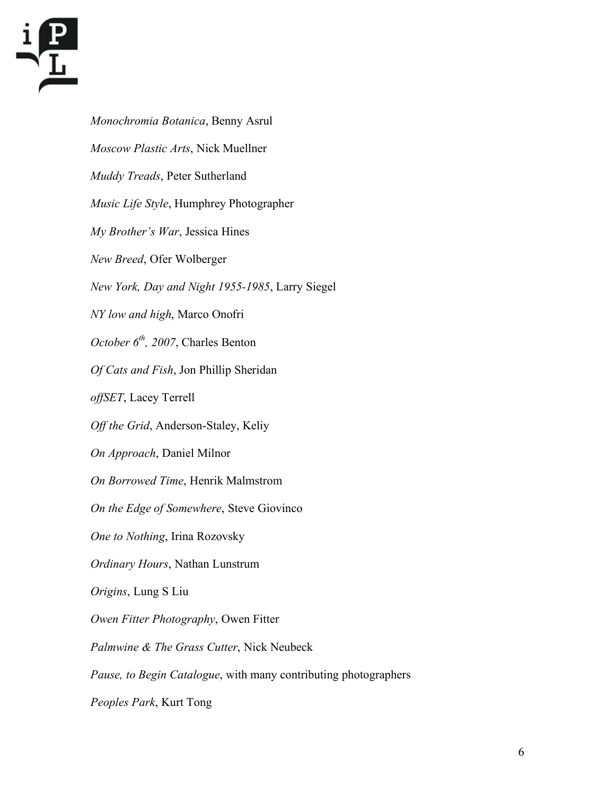

*Monochromia Botanica*, Benny Asrul *Moscow Plastic Arts*, Nick Muellner *Muddy Treads*, Peter Sutherland *Music Life Style*, Humphrey Photographer *My Brother's War*, Jessica Hines *New Breed*, Ofer Wolberger *New York, Day and Night 1955-1985*, Larry Siegel *NY low and high*, Marco Onofri *October 6th , 2007*, Charles Benton *Of Cats and Fish*, Jon Phillip Sheridan *offSET*, Lacey Terrell *Off the Grid*, Anderson-Staley, Keliy *On Approach*, Daniel Milnor *On Borrowed Time*, Henrik Malmstrom *On the Edge of Somewhere*, Steve Giovinco *One to Nothing*, Irina Rozovsky *Ordinary Hours*, Nathan Lunstrum *Origins*, Lung S Liu *Owen Fitter Photography*, Owen Fitter *Palmwine & The Grass Cutter*, Nick Neubeck *Pause, to Begin Catalogue*, with many contributing photographers *Peoples Park*, Kurt Tong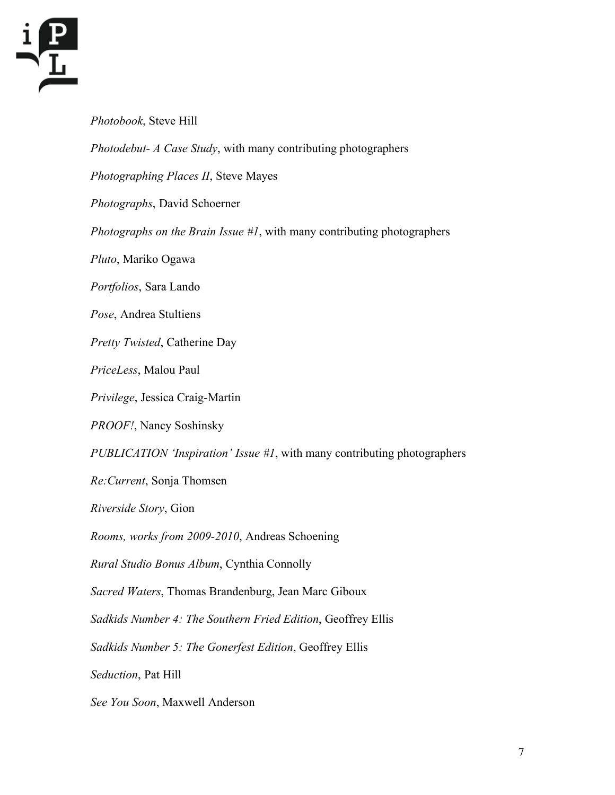

*Photobook*, Steve Hill *Photodebut- A Case Study*, with many contributing photographers *Photographing Places II*, Steve Mayes *Photographs*, David Schoerner *Photographs on the Brain Issue #1*, with many contributing photographers *Pluto*, Mariko Ogawa *Portfolios*, Sara Lando *Pose*, Andrea Stultiens *Pretty Twisted*, Catherine Day *PriceLess*, Malou Paul *Privilege*, Jessica Craig-Martin *PROOF!*, Nancy Soshinsky *PUBLICATION 'Inspiration' Issue #1*, with many contributing photographers *Re:Current*, Sonja Thomsen *Riverside Story*, Gion *Rooms, works from 2009-2010*, Andreas Schoening *Rural Studio Bonus Album*, Cynthia Connolly *Sacred Waters*, Thomas Brandenburg, Jean Marc Giboux *Sadkids Number 4: The Southern Fried Edition*, Geoffrey Ellis *Sadkids Number 5: The Gonerfest Edition*, Geoffrey Ellis *Seduction*, Pat Hill *See You Soon*, Maxwell Anderson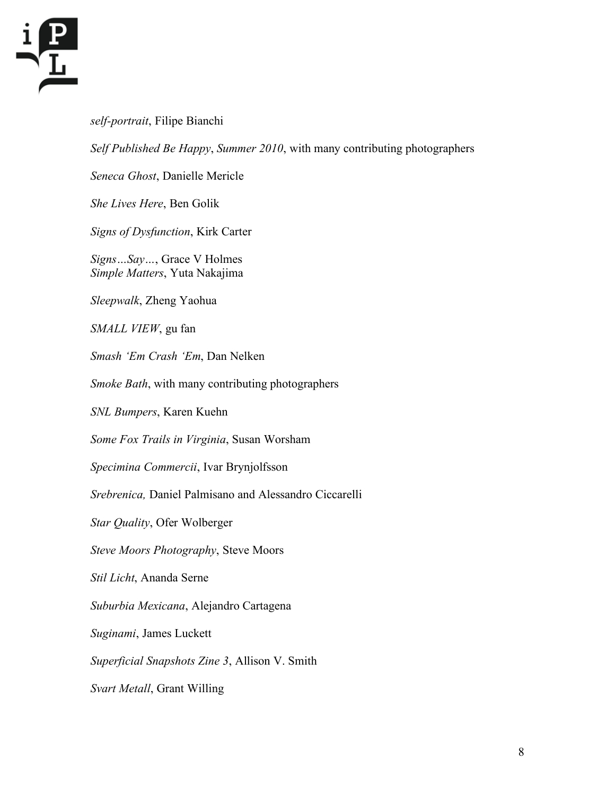

## *self-portrait*, Filipe Bianchi

*Self Published Be Happy*, *Summer 2010*, with many contributing photographers

*Seneca Ghost*, Danielle Mericle

*She Lives Here*, Ben Golik

*Signs of Dysfunction*, Kirk Carter

*Signs…Say…*, Grace V Holmes *Simple Matters*, Yuta Nakajima

*Sleepwalk*, Zheng Yaohua

*SMALL VIEW*, gu fan

*Smash 'Em Crash 'Em*, Dan Nelken

*Smoke Bath*, with many contributing photographers

*SNL Bumpers*, Karen Kuehn

*Some Fox Trails in Virginia*, Susan Worsham

*Specimina Commercii*, Ivar Brynjolfsson

*Srebrenica,* Daniel Palmisano and Alessandro Ciccarelli

*Star Quality*, Ofer Wolberger

*Steve Moors Photography*, Steve Moors

*Stil Licht*, Ananda Serne

*Suburbia Mexicana*, Alejandro Cartagena

*Suginami*, James Luckett

*Superficial Snapshots Zine 3*, Allison V. Smith

*Svart Metall*, Grant Willing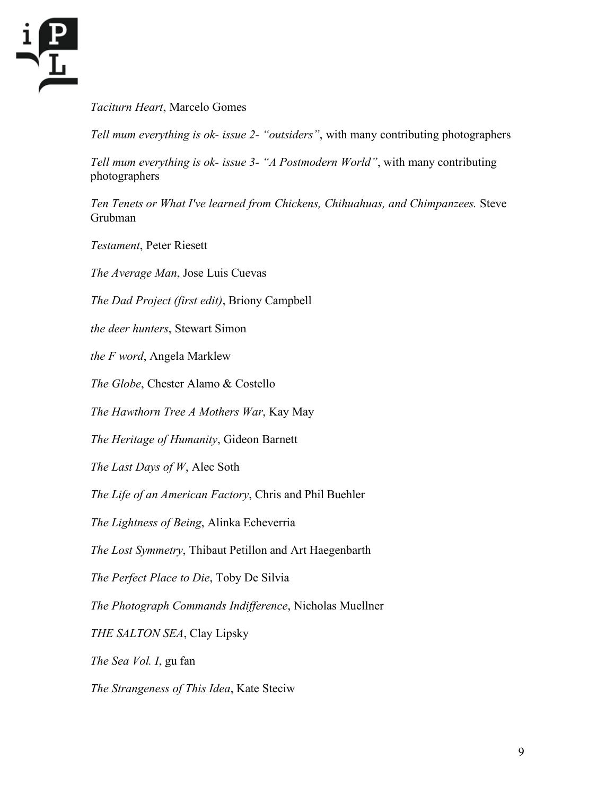

*Taciturn Heart*, Marcelo Gomes

*Tell mum everything is ok- issue 2- "outsiders"*, with many contributing photographers

*Tell mum everything is ok- issue 3- "A Postmodern World"*, with many contributing photographers

*Ten Tenets or What I've learned from Chickens, Chihuahuas, and Chimpanzees.* Steve Grubman

*Testament*, Peter Riesett

*The Average Man*, Jose Luis Cuevas

*The Dad Project (first edit)*, Briony Campbell

*the deer hunters*, Stewart Simon

*the F word*, Angela Marklew

*The Globe*, Chester Alamo & Costello

*The Hawthorn Tree A Mothers War*, Kay May

*The Heritage of Humanity*, Gideon Barnett

*The Last Days of W*, Alec Soth

*The Life of an American Factory*, Chris and Phil Buehler

*The Lightness of Being*, Alinka Echeverria

*The Lost Symmetry*, Thibaut Petillon and Art Haegenbarth

*The Perfect Place to Die*, Toby De Silvia

*The Photograph Commands Indifference*, Nicholas Muellner

*THE SALTON SEA*, Clay Lipsky

*The Sea Vol. I*, gu fan

*The Strangeness of This Idea*, Kate Steciw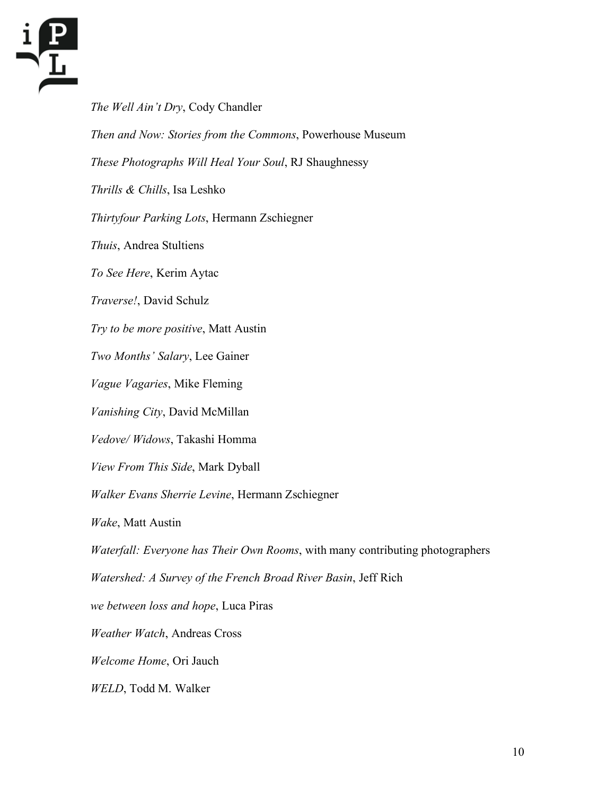

*The Well Ain't Dry*, Cody Chandler *Then and Now: Stories from the Commons*, Powerhouse Museum *These Photographs Will Heal Your Soul*, RJ Shaughnessy *Thrills & Chills*, Isa Leshko *Thirtyfour Parking Lots*, Hermann Zschiegner *Thuis*, Andrea Stultiens *To See Here*, Kerim Aytac *Traverse!*, David Schulz *Try to be more positive*, Matt Austin *Two Months' Salary*, Lee Gainer *Vague Vagaries*, Mike Fleming *Vanishing City*, David McMillan *Vedove/ Widows*, Takashi Homma *View From This Side*, Mark Dyball *Walker Evans Sherrie Levine*, Hermann Zschiegner *Wake*, Matt Austin *Waterfall: Everyone has Their Own Rooms*, with many contributing photographers *Watershed: A Survey of the French Broad River Basin*, Jeff Rich *we between loss and hope*, Luca Piras *Weather Watch*, Andreas Cross *Welcome Home*, Ori Jauch *WELD*, Todd M. Walker